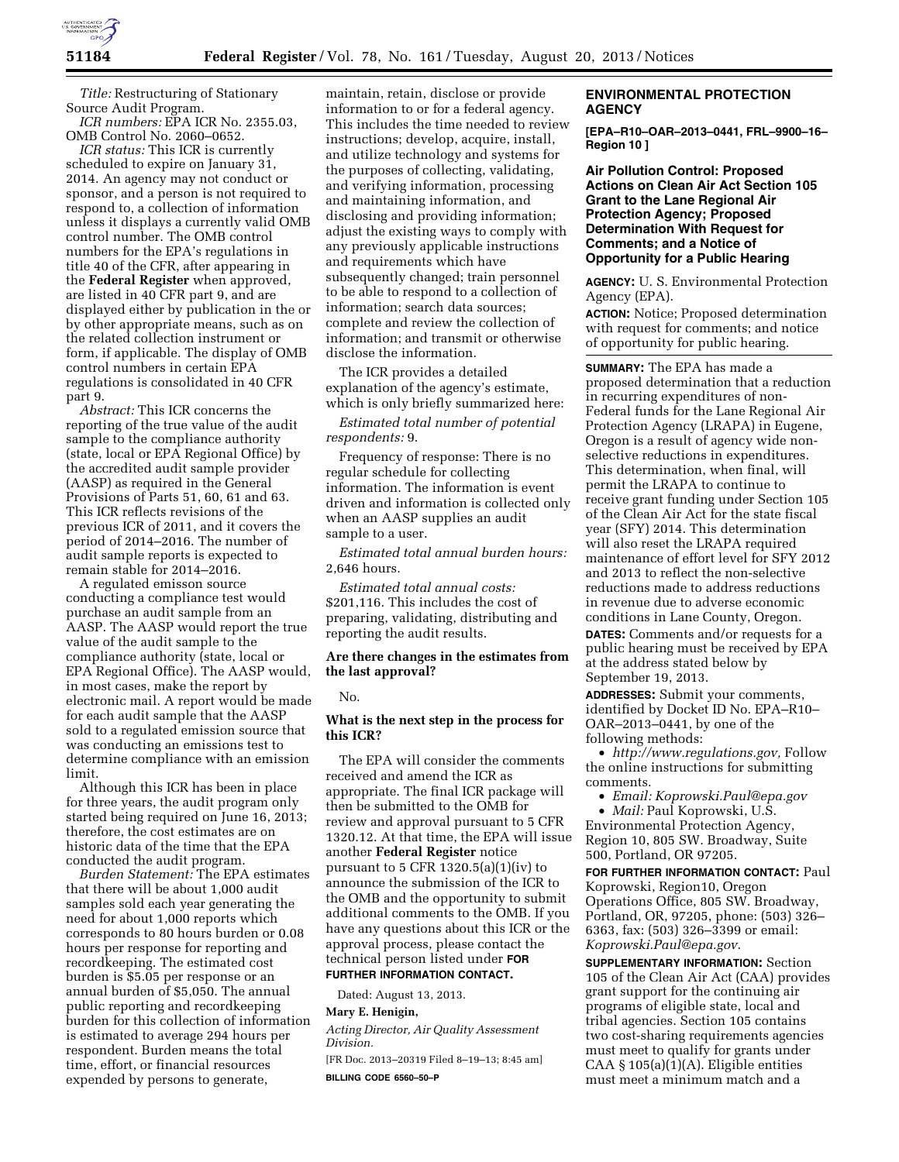

*Title:* Restructuring of Stationary Source Audit Program.

*ICR numbers:* EPA ICR No. 2355.03, OMB Control No. 2060–0652.

*ICR status:* This ICR is currently scheduled to expire on January 31, 2014. An agency may not conduct or sponsor, and a person is not required to respond to, a collection of information unless it displays a currently valid OMB control number. The OMB control numbers for the EPA's regulations in title 40 of the CFR, after appearing in the **Federal Register** when approved, are listed in 40 CFR part 9, and are displayed either by publication in the or by other appropriate means, such as on the related collection instrument or form, if applicable. The display of OMB control numbers in certain EPA regulations is consolidated in 40 CFR part 9.

*Abstract:* This ICR concerns the reporting of the true value of the audit sample to the compliance authority (state, local or EPA Regional Office) by the accredited audit sample provider (AASP) as required in the General Provisions of Parts 51, 60, 61 and 63. This ICR reflects revisions of the previous ICR of 2011, and it covers the period of 2014–2016. The number of audit sample reports is expected to remain stable for 2014–2016.

A regulated emisson source conducting a compliance test would purchase an audit sample from an AASP. The AASP would report the true value of the audit sample to the compliance authority (state, local or EPA Regional Office). The AASP would, in most cases, make the report by electronic mail. A report would be made for each audit sample that the AASP sold to a regulated emission source that was conducting an emissions test to determine compliance with an emission limit.

Although this ICR has been in place for three years, the audit program only started being required on June 16, 2013; therefore, the cost estimates are on historic data of the time that the EPA conducted the audit program.

*Burden Statement:* The EPA estimates that there will be about 1,000 audit samples sold each year generating the need for about 1,000 reports which corresponds to 80 hours burden or 0.08 hours per response for reporting and recordkeeping. The estimated cost burden is \$5.05 per response or an annual burden of \$5,050. The annual public reporting and recordkeeping burden for this collection of information is estimated to average 294 hours per respondent. Burden means the total time, effort, or financial resources expended by persons to generate,

maintain, retain, disclose or provide information to or for a federal agency. This includes the time needed to review instructions; develop, acquire, install, and utilize technology and systems for the purposes of collecting, validating, and verifying information, processing and maintaining information, and disclosing and providing information; adjust the existing ways to comply with any previously applicable instructions and requirements which have subsequently changed; train personnel to be able to respond to a collection of information; search data sources; complete and review the collection of information; and transmit or otherwise disclose the information.

The ICR provides a detailed explanation of the agency's estimate, which is only briefly summarized here:

*Estimated total number of potential respondents:* 9.

Frequency of response: There is no regular schedule for collecting information. The information is event driven and information is collected only when an AASP supplies an audit sample to a user.

*Estimated total annual burden hours:*  2,646 hours.

*Estimated total annual costs:*  \$201,116. This includes the cost of preparing, validating, distributing and reporting the audit results.

#### **Are there changes in the estimates from the last approval?**

No.

# **What is the next step in the process for this ICR?**

The EPA will consider the comments received and amend the ICR as appropriate. The final ICR package will then be submitted to the OMB for review and approval pursuant to 5 CFR 1320.12. At that time, the EPA will issue another **Federal Register** notice pursuant to  $5$  CFR 1320.5(a)(1)(iv) to announce the submission of the ICR to the OMB and the opportunity to submit additional comments to the OMB. If you have any questions about this ICR or the approval process, please contact the technical person listed under **FOR FURTHER INFORMATION CONTACT.** 

Dated: August 13, 2013.

**Mary E. Henigin,** 

*Acting Director, Air Quality Assessment Division.* 

[FR Doc. 2013–20319 Filed 8–19–13; 8:45 am] **BILLING CODE 6560–50–P** 

# **ENVIRONMENTAL PROTECTION AGENCY**

**[EPA–R10–OAR–2013–0441, FRL–9900–16– Region 10 ]** 

**Air Pollution Control: Proposed Actions on Clean Air Act Section 105 Grant to the Lane Regional Air Protection Agency; Proposed Determination With Request for Comments; and a Notice of Opportunity for a Public Hearing** 

**AGENCY:** U. S. Environmental Protection Agency (EPA).

**ACTION:** Notice; Proposed determination with request for comments; and notice of opportunity for public hearing.

**SUMMARY:** The EPA has made a proposed determination that a reduction in recurring expenditures of non-Federal funds for the Lane Regional Air Protection Agency (LRAPA) in Eugene, Oregon is a result of agency wide nonselective reductions in expenditures. This determination, when final, will permit the LRAPA to continue to receive grant funding under Section 105 of the Clean Air Act for the state fiscal year (SFY) 2014. This determination will also reset the LRAPA required maintenance of effort level for SFY 2012 and 2013 to reflect the non-selective reductions made to address reductions in revenue due to adverse economic conditions in Lane County, Oregon.

**DATES:** Comments and/or requests for a public hearing must be received by EPA at the address stated below by September 19, 2013.

**ADDRESSES:** Submit your comments, identified by Docket ID No. EPA–R10– OAR–2013–0441, by one of the following methods:

• *[http://www.regulations.gov,](http://www.regulations.gov)* Follow the online instructions for submitting comments.

• *Email: [Koprowski.Paul@epa.gov](mailto:Koprowski.Paul@epa.gov)* 

• *Mail:* Paul Koprowski, U.S.

Environmental Protection Agency, Region 10, 805 SW. Broadway, Suite 500, Portland, OR 97205.

**FOR FURTHER INFORMATION CONTACT:** Paul Koprowski, Region10, Oregon Operations Office, 805 SW. Broadway, Portland, OR, 97205, phone: (503) 326– 6363, fax: (503) 326–3399 or email: *[Koprowski.Paul@epa.gov](mailto:Koprowski.Paul@epa.gov)*.

**SUPPLEMENTARY INFORMATION:** Section 105 of the Clean Air Act (CAA) provides grant support for the continuing air programs of eligible state, local and tribal agencies. Section 105 contains two cost-sharing requirements agencies must meet to qualify for grants under CAA §  $105(a)(1)(A)$ . Eligible entities must meet a minimum match and a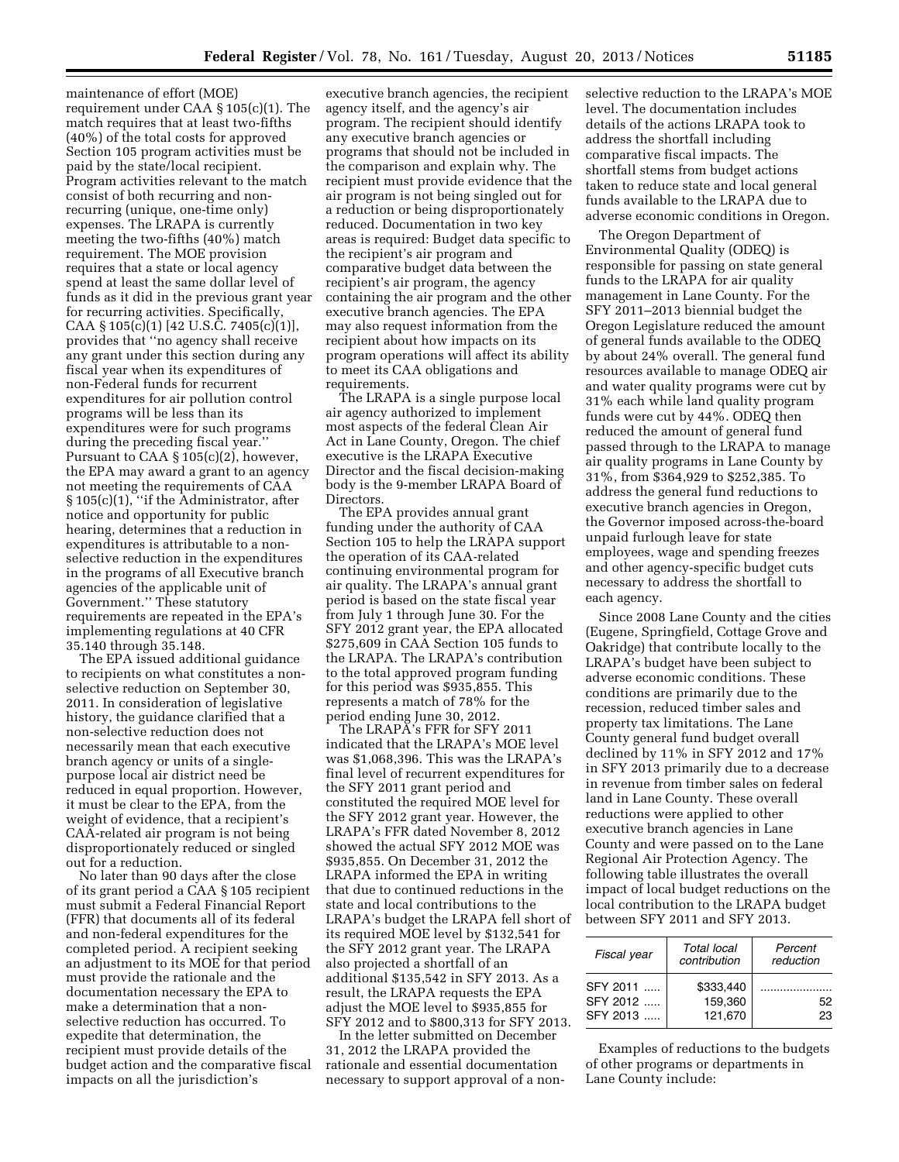maintenance of effort (MOE) requirement under CAA § 105(c)(1). The match requires that at least two-fifths (40%) of the total costs for approved Section 105 program activities must be paid by the state/local recipient. Program activities relevant to the match consist of both recurring and nonrecurring (unique, one-time only) expenses. The LRAPA is currently meeting the two-fifths (40%) match requirement. The MOE provision requires that a state or local agency spend at least the same dollar level of funds as it did in the previous grant year for recurring activities. Specifically, CAA § 105(c)(1) [42 U.S.C. 7405(c)(1)], provides that ''no agency shall receive any grant under this section during any fiscal year when its expenditures of non-Federal funds for recurrent expenditures for air pollution control programs will be less than its expenditures were for such programs during the preceding fiscal year.'' Pursuant to CAA § 105(c)(2), however, the EPA may award a grant to an agency not meeting the requirements of CAA § 105(c)(1), ''if the Administrator, after notice and opportunity for public hearing, determines that a reduction in expenditures is attributable to a nonselective reduction in the expenditures in the programs of all Executive branch agencies of the applicable unit of Government.'' These statutory requirements are repeated in the EPA's implementing regulations at 40 CFR 35.140 through 35.148.

The EPA issued additional guidance to recipients on what constitutes a nonselective reduction on September 30, 2011. In consideration of legislative history, the guidance clarified that a non-selective reduction does not necessarily mean that each executive branch agency or units of a singlepurpose local air district need be reduced in equal proportion. However, it must be clear to the EPA, from the weight of evidence, that a recipient's CAA-related air program is not being disproportionately reduced or singled out for a reduction.

No later than 90 days after the close of its grant period a CAA § 105 recipient must submit a Federal Financial Report (FFR) that documents all of its federal and non-federal expenditures for the completed period. A recipient seeking an adjustment to its MOE for that period must provide the rationale and the documentation necessary the EPA to make a determination that a nonselective reduction has occurred. To expedite that determination, the recipient must provide details of the budget action and the comparative fiscal impacts on all the jurisdiction's

executive branch agencies, the recipient agency itself, and the agency's air program. The recipient should identify any executive branch agencies or programs that should not be included in the comparison and explain why. The recipient must provide evidence that the air program is not being singled out for a reduction or being disproportionately reduced. Documentation in two key areas is required: Budget data specific to the recipient's air program and comparative budget data between the recipient's air program, the agency containing the air program and the other executive branch agencies. The EPA may also request information from the recipient about how impacts on its program operations will affect its ability to meet its CAA obligations and requirements.

The LRAPA is a single purpose local air agency authorized to implement most aspects of the federal Clean Air Act in Lane County, Oregon. The chief executive is the LRAPA Executive Director and the fiscal decision-making body is the 9-member LRAPA Board of Directors.

The EPA provides annual grant funding under the authority of CAA Section 105 to help the LRAPA support the operation of its CAA-related continuing environmental program for air quality. The LRAPA's annual grant period is based on the state fiscal year from July 1 through June 30. For the SFY 2012 grant year, the EPA allocated \$275,609 in CAA Section 105 funds to the LRAPA. The LRAPA's contribution to the total approved program funding for this period was \$935,855. This represents a match of 78% for the period ending June 30, 2012.

The LRAPA's FFR for SFY 2011 indicated that the LRAPA's MOE level was \$1,068,396. This was the LRAPA's final level of recurrent expenditures for the SFY 2011 grant period and constituted the required MOE level for the SFY 2012 grant year. However, the LRAPA's FFR dated November 8, 2012 showed the actual SFY 2012 MOE was \$935,855. On December 31, 2012 the LRAPA informed the EPA in writing that due to continued reductions in the state and local contributions to the LRAPA's budget the LRAPA fell short of its required MOE level by \$132,541 for the SFY 2012 grant year. The LRAPA also projected a shortfall of an additional \$135,542 in SFY 2013. As a result, the LRAPA requests the EPA adjust the MOE level to \$935,855 for SFY 2012 and to \$800,313 for SFY 2013.

In the letter submitted on December 31, 2012 the LRAPA provided the rationale and essential documentation necessary to support approval of a nonselective reduction to the LRAPA's MOE level. The documentation includes details of the actions LRAPA took to address the shortfall including comparative fiscal impacts. The shortfall stems from budget actions taken to reduce state and local general funds available to the LRAPA due to adverse economic conditions in Oregon.

The Oregon Department of Environmental Quality (ODEQ) is responsible for passing on state general funds to the LRAPA for air quality management in Lane County. For the SFY 2011–2013 biennial budget the Oregon Legislature reduced the amount of general funds available to the ODEQ by about 24% overall. The general fund resources available to manage ODEQ air and water quality programs were cut by 31% each while land quality program funds were cut by 44%. ODEQ then reduced the amount of general fund passed through to the LRAPA to manage air quality programs in Lane County by 31%, from \$364,929 to \$252,385. To address the general fund reductions to executive branch agencies in Oregon, the Governor imposed across-the-board unpaid furlough leave for state employees, wage and spending freezes and other agency-specific budget cuts necessary to address the shortfall to each agency.

Since 2008 Lane County and the cities (Eugene, Springfield, Cottage Grove and Oakridge) that contribute locally to the LRAPA's budget have been subject to adverse economic conditions. These conditions are primarily due to the recession, reduced timber sales and property tax limitations. The Lane County general fund budget overall declined by 11% in SFY 2012 and 17% in SFY 2013 primarily due to a decrease in revenue from timber sales on federal land in Lane County. These overall reductions were applied to other executive branch agencies in Lane County and were passed on to the Lane Regional Air Protection Agency. The following table illustrates the overall impact of local budget reductions on the local contribution to the LRAPA budget between SFY 2011 and SFY 2013.

| Fiscal year                      | <b>Total local</b><br>contribution | Percent<br>reduction |
|----------------------------------|------------------------------------|----------------------|
| SFY 2011<br>SFY 2012<br>SFY 2013 | \$333,440<br>159.360<br>121.670    | 52<br>23             |

Examples of reductions to the budgets of other programs or departments in Lane County include: